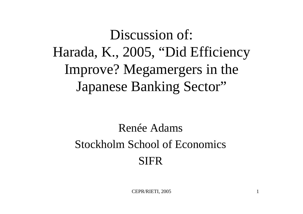#### Discussion of: Harada, K., 2005, "Did Efficiency Improve? Megamergers in the Japanese Banking Sector"

#### Renée AdamsStockholm School of Economics SIFR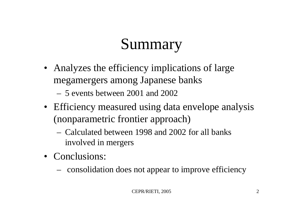## Summary

- Analyzes the efficiency implications of large megamergers among Japanese banks
	- –5 events between 2001 and 2002
- Efficiency measured using data envelope analysis (nonparametric frontier approach)
	- –Calculated between 1998 and 2002 for all banks involved in mergers
- Conclusions:
	- consolidation does not appear to improve efficiency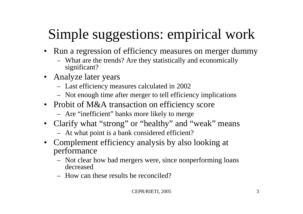### Simple suggestions: empirical work

- Run a regression of efficiency measures on merger dummy
	- What are the trends? Are they statistically and economically significant?
- Analyze later years
	- Last efficiency measures calculated in 2002
	- Not enough time after merger to tell efficiency implications
- Probit of M&A transaction on efficiency score
	- Are "inefficient" banks more likely to merge
- Clarify what "strong" or "healthy" and "weak" means
	- At what point is a bank considered efficient ?
- Complement efficiency analysis by also looking at performance
	- Not clear how bad mergers were, since nonperforming loans decreased
	- –How can these results be reconciled?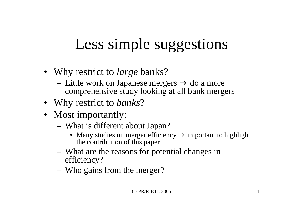## Less simple suggestions

- Why restrict to *large* banks?
	- Little work on Japanese mergers do a more comprehensive study looking at all bank mergers
- Why restrict to *banks* ?
- Most importantly:
	- What is different about Japan?
		- Many studies on merger efficiency important to highl important to highlight the contribution of thi s paper
	- What are the reasons for potential changes in efficiency?
	- Who gains from the merger?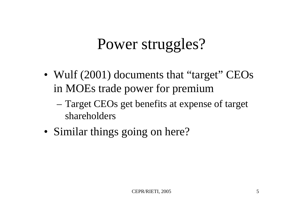#### Power struggles?

- Wulf (2001) documents that "target" CEOs in MOEs trade power for premium
	- Target CEOs get benefits at expense of target shareholders
- Similar things going on here?